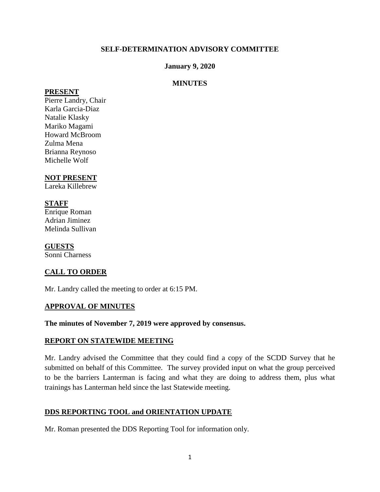## **SELF-DETERMINATION ADVISORY COMMITTEE**

### **January 9, 2020**

### **MINUTES**

#### **PRESENT**

Pierre Landry, Chair Karla Garcia-Diaz Natalie Klasky Mariko Magami Howard McBroom Zulma Mena Brianna Reynoso Michelle Wolf

## **NOT PRESENT**

Lareka Killebrew

### **STAFF**

Enrique Roman Adrian Jiminez Melinda Sullivan

**GUESTS** Sonni Charness

# **CALL TO ORDER**

Mr. Landry called the meeting to order at 6:15 PM.

### **APPROVAL OF MINUTES**

#### **The minutes of November 7, 2019 were approved by consensus.**

### **REPORT ON STATEWIDE MEETING**

Mr. Landry advised the Committee that they could find a copy of the SCDD Survey that he submitted on behalf of this Committee. The survey provided input on what the group perceived to be the barriers Lanterman is facing and what they are doing to address them, plus what trainings has Lanterman held since the last Statewide meeting.

# **DDS REPORTING TOOL and ORIENTATION UPDATE**

Mr. Roman presented the DDS Reporting Tool for information only.